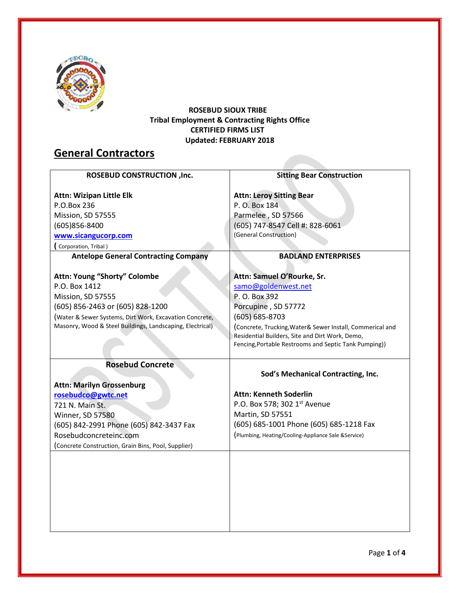

#### **ROSEBUD SIOUX TRIBE Tribal Employment & Contracting Rights Office CERTIFIED FIRMS LIST Updated: FEBRUARY 2018**

# **General Contractors**

| <b>ROSEBUD CONSTRUCTION, Inc.</b>                         | <b>Sitting Bear Construction</b>                           |
|-----------------------------------------------------------|------------------------------------------------------------|
|                                                           |                                                            |
| <b>Attn: Wizipan Little Elk</b>                           | <b>Attn: Leroy Sitting Bear</b>                            |
| P.O.Box 236                                               | P. O. Box 184                                              |
| Mission, SD 57555                                         | Parmelee, SD 57566                                         |
| (605)856-8400                                             | (605) 747-8547 Cell #: 828-6061                            |
| www.sicangucorp.com                                       | (General Construction)                                     |
| Corporation, Tribal)                                      |                                                            |
| <b>Antelope General Contracting Company</b>               | <b>BADLAND ENTERPRISES</b>                                 |
|                                                           |                                                            |
| Attn: Young "Shorty" Colombe                              | Attn: Samuel O'Rourke, Sr.                                 |
| P.O. Box 1412                                             | samo@goldenwest.net                                        |
| Mission, SD 57555                                         | P. O. Box 392                                              |
| (605) 856-2463 or (605) 828-1200                          | Porcupine, SD 57772                                        |
| (Water & Sewer Systems, Dirt Work, Excavation Concrete,   | $(605) 685 - 8703$                                         |
| Masonry, Wood & Steel Buildings, Landscaping, Electrical) | (Concrete, Trucking, Water & Sewer Install, Commerical and |
|                                                           | Residential Builders, Site and Dirt Work, Demo,            |
|                                                           | Fencing, Portable Restrooms and Septic Tank Pumping))      |
|                                                           |                                                            |
| <b>Rosebud Concrete</b>                                   | Sod's Mechanical Contracting, Inc.                         |
|                                                           |                                                            |
| <b>Attn: Marilyn Grossenburg</b>                          | <b>Attn: Kenneth Soderlin</b>                              |
| rosebudco@gwtc.net                                        |                                                            |
| 721 N. Main St.                                           | P.O. Box 578; 302 1st Avenue                               |
| Winner, SD 57580                                          | Martin, SD 57551                                           |
| (605) 842-2991 Phone (605) 842-3437 Fax                   | (605) 685-1001 Phone (605) 685-1218 Fax                    |
| Rosebudconcreteinc.com                                    | (Plumbing, Heating/Cooling-Appliance Sale & Service)       |
| (Concrete Construction, Grain Bins, Pool, Supplier)       |                                                            |
|                                                           |                                                            |
|                                                           |                                                            |
|                                                           |                                                            |
|                                                           |                                                            |
|                                                           |                                                            |
|                                                           |                                                            |
|                                                           |                                                            |
|                                                           |                                                            |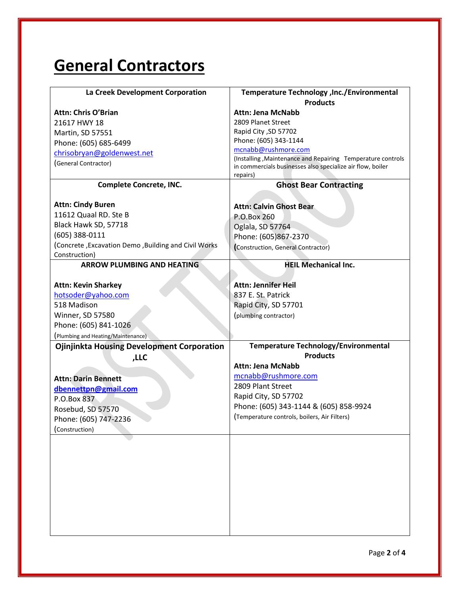# **General Contractors**

| La Creek Development Corporation                     | Temperature Technology , Inc./Environmental<br><b>Products</b>         |
|------------------------------------------------------|------------------------------------------------------------------------|
| <b>Attn: Chris O'Brian</b>                           | <b>Attn: Jena McNabb</b>                                               |
| 21617 HWY 18                                         | 2809 Planet Street                                                     |
| Martin, SD 57551                                     | Rapid City, SD 57702                                                   |
| Phone: (605) 685-6499                                | Phone: (605) 343-1144                                                  |
| chrisobryan@goldenwest.net                           | mcnabb@rushmore.com                                                    |
| (General Contractor)                                 | (Installing, Maintenance and Repairing Temperature controls            |
|                                                      | in commercials businesses also specialize air flow, boiler<br>repairs) |
| <b>Complete Concrete, INC.</b>                       | <b>Ghost Bear Contracting</b>                                          |
|                                                      |                                                                        |
| <b>Attn: Cindy Buren</b>                             | <b>Attn: Calvin Ghost Bear</b>                                         |
| 11612 Quaal RD. Ste B                                | P.O.Box 260                                                            |
| Black Hawk SD, 57718                                 | Oglala, SD 57764                                                       |
| (605) 388-0111                                       | Phone: (605)867-2370                                                   |
| (Concrete, Excavation Demo, Building and Civil Works | (Construction, General Contractor)                                     |
| Construction)                                        |                                                                        |
| <b>ARROW PLUMBING AND HEATING</b>                    | <b>HEIL Mechanical Inc.</b>                                            |
|                                                      |                                                                        |
| <b>Attn: Kevin Sharkey</b>                           | <b>Attn: Jennifer Heil</b>                                             |
| hotsoder@yahoo.com                                   | 837 E. St. Patrick                                                     |
| 518 Madison                                          | Rapid City, SD 57701                                                   |
| Winner, SD 57580                                     | (plumbing contractor)                                                  |
| Phone: (605) 841-1026                                |                                                                        |
| (Plumbing and Heating/Maintenance)                   |                                                                        |
| <b>Ojinjinkta Housing Development Corporation</b>    | <b>Temperature Technology/Environmental</b>                            |
| ,LLC                                                 | <b>Products</b><br><b>Attn: Jena McNabb</b>                            |
|                                                      |                                                                        |
| <b>Attn: Darin Bennett</b>                           | mcnabb@rushmore.com<br>2809 Plant Street                               |
| dbennettpn@gmail.com                                 |                                                                        |
| P.O.Box 837                                          | Rapid City, SD 57702                                                   |
| Rosebud, SD 57570                                    | Phone: (605) 343-1144 & (605) 858-9924                                 |
| Phone: (605) 747-2236                                | (Temperature controls, boilers, Air Filters)                           |
| (Construction)                                       |                                                                        |
|                                                      |                                                                        |
|                                                      |                                                                        |
|                                                      |                                                                        |
|                                                      |                                                                        |
|                                                      |                                                                        |
|                                                      |                                                                        |
|                                                      |                                                                        |
|                                                      |                                                                        |
|                                                      |                                                                        |
|                                                      |                                                                        |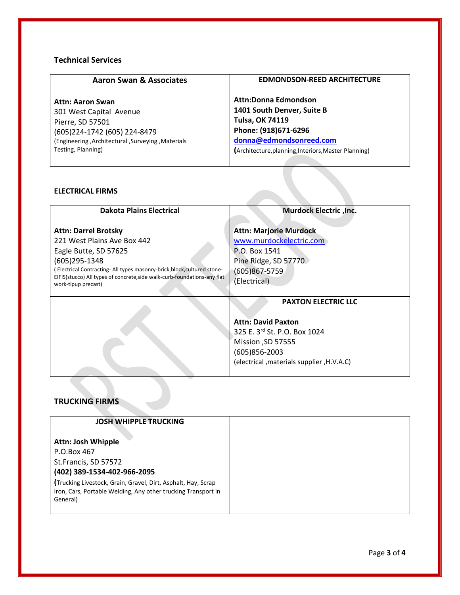### **Technical Services**

| <b>Aaron Swan &amp; Associates</b>                | <b>EDMONDSON-REED ARCHITECTURE</b>                   |
|---------------------------------------------------|------------------------------------------------------|
| <b>Attn: Aaron Swan</b>                           | <b>Attn:Donna Edmondson</b>                          |
| 301 West Capital Avenue                           | 1401 South Denver, Suite B                           |
| Pierre, SD 57501                                  | <b>Tulsa, OK 74119</b>                               |
| (605)224-1742 (605) 224-8479                      | Phone: (918)671-6296                                 |
| (Engineering, Architectural, Surveying, Materials | donna@edmondsonreed.com                              |
| Testing, Planning)                                | (Architecture, planning, Interiors, Master Planning) |

#### **ELECTRICAL FIRMS**

| <b>Dakota Plains Electrical</b>                                                                                                                                                                                                                                                        | Murdock Electric , Inc.                                                                                                                                                         |
|----------------------------------------------------------------------------------------------------------------------------------------------------------------------------------------------------------------------------------------------------------------------------------------|---------------------------------------------------------------------------------------------------------------------------------------------------------------------------------|
| <b>Attn: Darrel Brotsky</b><br>221 West Plains Ave Box 442<br>Eagle Butte, SD 57625<br>$(605)$ 295-1348<br>(Electrical Contracting- All types masonry-brick, block, cultured stone-<br>EIFIS(stucco) All types of concrete, side walk-curb-foundations-any flat<br>work-tipup precast) | <b>Attn: Marjorie Murdock</b><br>www.murdockelectric.com<br>P.O. Box 1541<br>Pine Ridge, SD 57770<br>(605)867-5759<br>(Electrical)                                              |
|                                                                                                                                                                                                                                                                                        | <b>PAXTON ELECTRIC LLC</b><br><b>Attn: David Paxton</b><br>325 E. 3rd St. P.O. Box 1024<br>Mission ,SD 57555<br>$(605)856 - 2003$<br>(electrical , materials supplier, H.V.A.C) |

# **TRUCKING FIRMS**

| <b>JOSH WHIPPLE TRUCKING</b>                                              |
|---------------------------------------------------------------------------|
| <b>Attn: Josh Whipple</b>                                                 |
| P.O.Box 467                                                               |
| St.Francis, SD 57572                                                      |
| (402) 389-1534-402-966-2095                                               |
| (Trucking Livestock, Grain, Gravel, Dirt, Asphalt, Hay, Scrap             |
| Iron, Cars, Portable Welding, Any other trucking Transport in<br>General) |
|                                                                           |